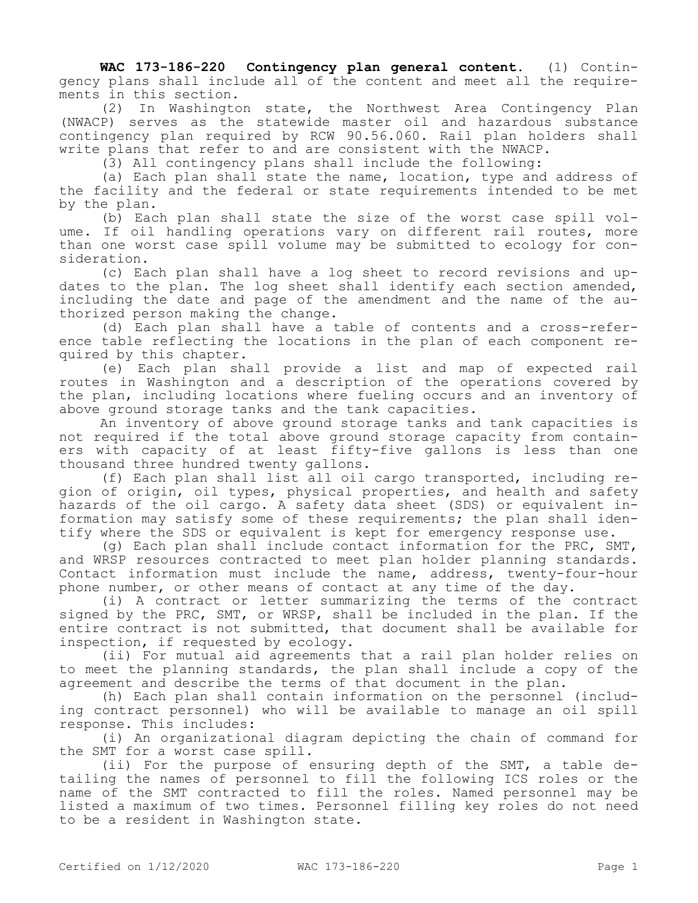**WAC 173-186-220 Contingency plan general content.** (1) Contingency plans shall include all of the content and meet all the requirements in this section.

(2) In Washington state, the Northwest Area Contingency Plan (NWACP) serves as the statewide master oil and hazardous substance contingency plan required by RCW 90.56.060. Rail plan holders shall write plans that refer to and are consistent with the NWACP.

(3) All contingency plans shall include the following:

(a) Each plan shall state the name, location, type and address of the facility and the federal or state requirements intended to be met by the plan.

(b) Each plan shall state the size of the worst case spill volume. If oil handling operations vary on different rail routes, more than one worst case spill volume may be submitted to ecology for consideration.

(c) Each plan shall have a log sheet to record revisions and updates to the plan. The log sheet shall identify each section amended, including the date and page of the amendment and the name of the authorized person making the change.

(d) Each plan shall have a table of contents and a cross-reference table reflecting the locations in the plan of each component required by this chapter.

(e) Each plan shall provide a list and map of expected rail routes in Washington and a description of the operations covered by the plan, including locations where fueling occurs and an inventory of above ground storage tanks and the tank capacities.

An inventory of above ground storage tanks and tank capacities is not required if the total above ground storage capacity from containers with capacity of at least fifty-five gallons is less than one thousand three hundred twenty gallons.

(f) Each plan shall list all oil cargo transported, including region of origin, oil types, physical properties, and health and safety hazards of the oil cargo. A safety data sheet (SDS) or equivalent information may satisfy some of these requirements; the plan shall identify where the SDS or equivalent is kept for emergency response use.

(g) Each plan shall include contact information for the PRC, SMT, and WRSP resources contracted to meet plan holder planning standards. Contact information must include the name, address, twenty-four-hour phone number, or other means of contact at any time of the day.

(i) A contract or letter summarizing the terms of the contract signed by the PRC, SMT, or WRSP, shall be included in the plan. If the entire contract is not submitted, that document shall be available for inspection, if requested by ecology.

(ii) For mutual aid agreements that a rail plan holder relies on to meet the planning standards, the plan shall include a copy of the agreement and describe the terms of that document in the plan.

(h) Each plan shall contain information on the personnel (including contract personnel) who will be available to manage an oil spill response. This includes:

(i) An organizational diagram depicting the chain of command for the SMT for a worst case spill.

(ii) For the purpose of ensuring depth of the SMT, a table detailing the names of personnel to fill the following ICS roles or the name of the SMT contracted to fill the roles. Named personnel may be listed a maximum of two times. Personnel filling key roles do not need to be a resident in Washington state.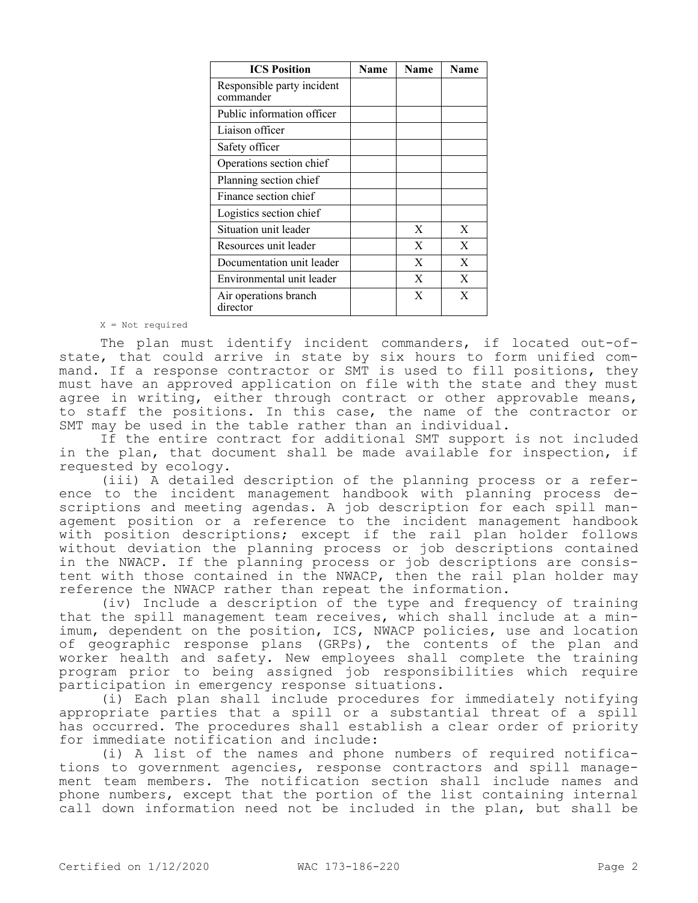| <b>ICS Position</b>                     | Name | Name | <b>Name</b> |
|-----------------------------------------|------|------|-------------|
| Responsible party incident<br>commander |      |      |             |
| Public information officer              |      |      |             |
| Liaison officer                         |      |      |             |
| Safety officer                          |      |      |             |
| Operations section chief                |      |      |             |
| Planning section chief                  |      |      |             |
| Finance section chief                   |      |      |             |
| Logistics section chief                 |      |      |             |
| Situation unit leader                   |      | X    | X           |
| Resources unit leader                   |      | X    | X           |
| Documentation unit leader               |      | X    | X           |
| Environmental unit leader               |      | X    | X           |
| Air operations branch<br>director       |      | X    | X           |

X = Not required

The plan must identify incident commanders, if located out-ofstate, that could arrive in state by six hours to form unified command. If a response contractor or SMT is used to fill positions, they must have an approved application on file with the state and they must agree in writing, either through contract or other approvable means, to staff the positions. In this case, the name of the contractor or SMT may be used in the table rather than an individual.

If the entire contract for additional SMT support is not included in the plan, that document shall be made available for inspection, if requested by ecology.

(iii) A detailed description of the planning process or a reference to the incident management handbook with planning process descriptions and meeting agendas. A job description for each spill management position or a reference to the incident management handbook with position descriptions; except if the rail plan holder follows without deviation the planning process or job descriptions contained in the NWACP. If the planning process or job descriptions are consistent with those contained in the NWACP, then the rail plan holder may reference the NWACP rather than repeat the information.

(iv) Include a description of the type and frequency of training that the spill management team receives, which shall include at a minimum, dependent on the position, ICS, NWACP policies, use and location of geographic response plans (GRPs), the contents of the plan and worker health and safety. New employees shall complete the training program prior to being assigned job responsibilities which require participation in emergency response situations.

(i) Each plan shall include procedures for immediately notifying appropriate parties that a spill or a substantial threat of a spill has occurred. The procedures shall establish a clear order of priority for immediate notification and include:

(i) A list of the names and phone numbers of required notifications to government agencies, response contractors and spill management team members. The notification section shall include names and phone numbers, except that the portion of the list containing internal call down information need not be included in the plan, but shall be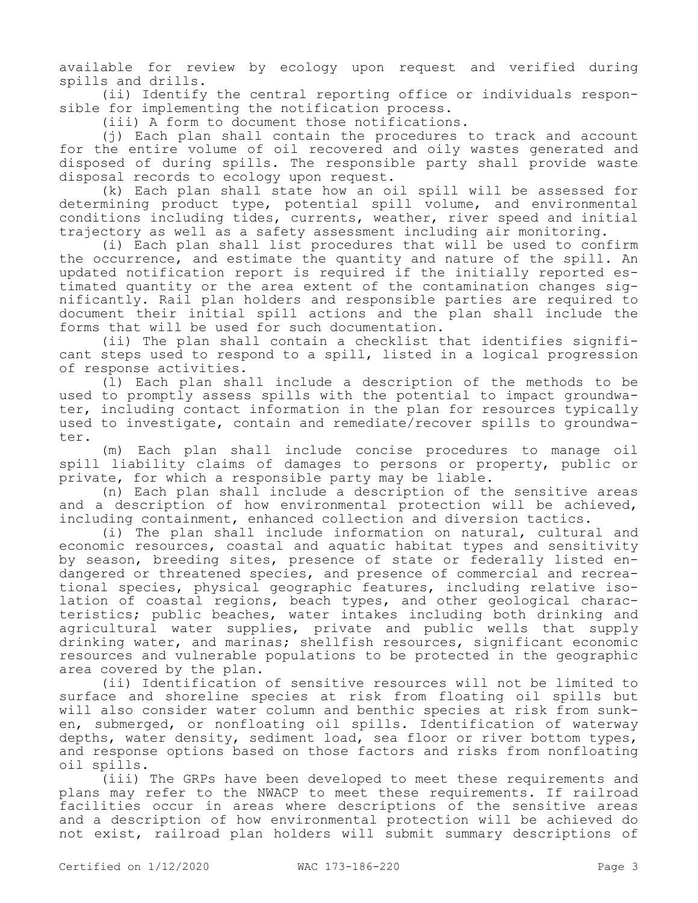available for review by ecology upon request and verified during spills and drills.

(ii) Identify the central reporting office or individuals responsible for implementing the notification process.

(iii) A form to document those notifications.

(j) Each plan shall contain the procedures to track and account for the entire volume of oil recovered and oily wastes generated and disposed of during spills. The responsible party shall provide waste disposal records to ecology upon request.

(k) Each plan shall state how an oil spill will be assessed for determining product type, potential spill volume, and environmental conditions including tides, currents, weather, river speed and initial trajectory as well as a safety assessment including air monitoring.

(i) Each plan shall list procedures that will be used to confirm the occurrence, and estimate the quantity and nature of the spill. An updated notification report is required if the initially reported estimated quantity or the area extent of the contamination changes significantly. Rail plan holders and responsible parties are required to document their initial spill actions and the plan shall include the forms that will be used for such documentation.

(ii) The plan shall contain a checklist that identifies significant steps used to respond to a spill, listed in a logical progression of response activities.

(l) Each plan shall include a description of the methods to be used to promptly assess spills with the potential to impact groundwater, including contact information in the plan for resources typically used to investigate, contain and remediate/recover spills to groundwater.

(m) Each plan shall include concise procedures to manage oil spill liability claims of damages to persons or property, public or private, for which a responsible party may be liable.

(n) Each plan shall include a description of the sensitive areas and a description of how environmental protection will be achieved, including containment, enhanced collection and diversion tactics.

(i) The plan shall include information on natural, cultural and economic resources, coastal and aquatic habitat types and sensitivity by season, breeding sites, presence of state or federally listed endangered or threatened species, and presence of commercial and recreational species, physical geographic features, including relative isolation of coastal regions, beach types, and other geological characteristics; public beaches, water intakes including both drinking and agricultural water supplies, private and public wells that supply drinking water, and marinas; shellfish resources, significant economic resources and vulnerable populations to be protected in the geographic area covered by the plan.

(ii) Identification of sensitive resources will not be limited to surface and shoreline species at risk from floating oil spills but will also consider water column and benthic species at risk from sunken, submerged, or nonfloating oil spills. Identification of waterway depths, water density, sediment load, sea floor or river bottom types, and response options based on those factors and risks from nonfloating oil spills.

(iii) The GRPs have been developed to meet these requirements and plans may refer to the NWACP to meet these requirements. If railroad facilities occur in areas where descriptions of the sensitive areas and a description of how environmental protection will be achieved do not exist, railroad plan holders will submit summary descriptions of